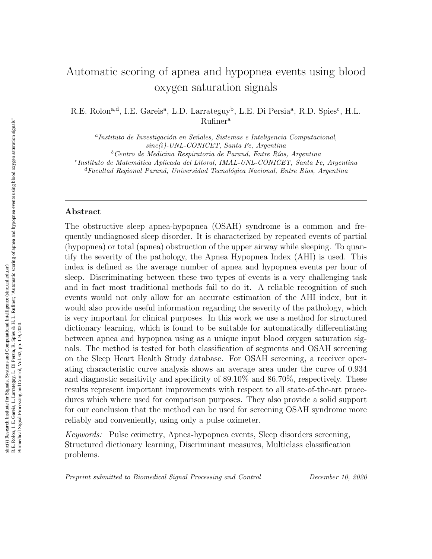# Automatic scoring of apnea and hypopnea events using blood oxygen saturation signals

R.E. Rolon<sup>a,d</sup>, I.E. Gareis<sup>a</sup>, L.D. Larrateguy<sup>b</sup>, L.E. Di Persia<sup>a</sup>, R.D. Spies<sup>c</sup>, H.L. Rufiner<sup>a</sup>

<sup>a</sup>Instituto de Investigación en Señales, Sistemas e Inteligencia Computacional, sinc(i)-UNL-CONICET, Santa Fe, Argentina

 $b$ Centro de Medicina Respiratoria de Paraná, Entre Ríos, Argentina

<sup>c</sup>Instituto de Matemática Aplicada del Litoral, IMAL-UNL-CONICET, Santa Fe, Argentina

 ${}^{d}$ Facultad Regional Paraná, Universidad Tecnológica Nacional, Entre Ríos, Argentina

## Abstract

The obstructive sleep apnea-hypopnea (OSAH) syndrome is a common and frequently undiagnosed sleep disorder. It is characterized by repeated events of partial (hypopnea) or total (apnea) obstruction of the upper airway while sleeping. To quantify the severity of the pathology, the Apnea Hypopnea Index (AHI) is used. This index is defined as the average number of apnea and hypopnea events per hour of sleep. Discriminating between these two types of events is a very challenging task and in fact most traditional methods fail to do it. A reliable recognition of such events would not only allow for an accurate estimation of the AHI index, but it would also provide useful information regarding the severity of the pathology, which is very important for clinical purposes. In this work we use a method for structured dictionary learning, which is found to be suitable for automatically differentiating between apnea and hypopnea using as a unique input blood oxygen saturation signals. The method is tested for both classification of segments and OSAH screening on the Sleep Heart Health Study database. For OSAH screening, a receiver operating characteristic curve analysis shows an average area under the curve of 0.934 and diagnostic sensitivity and specificity of 89.10% and 86.70%, respectively. These results represent important improvements with respect to all state-of-the-art procedures which where used for comparison purposes. They also provide a solid support for our conclusion that the method can be used for screening OSAH syndrome more reliably and conveniently, using only a pulse oximeter.

Keywords: Pulse oximetry, Apnea-hypopnea events, Sleep disorders screening, Structured dictionary learning, Discriminant measures, Multiclass classification problems.

Preprint submitted to Biomedical Signal Processing and Control December 10, 2020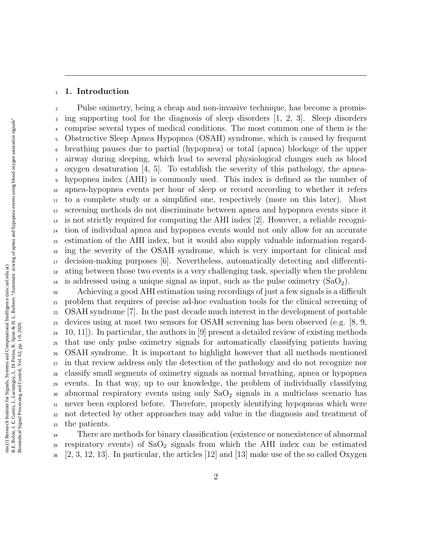## 1. Introduction

 Pulse oximetry, being a cheap and non-invasive technique, has become a promis- ing supporting tool for the diagnosis of sleep disorders [1, 2, 3]. Sleep disorders comprise several types of medical conditions. The most common one of them is the Obstructive Sleep Apnea Hypopnea (OSAH) syndrome, which is caused by frequent breathing pauses due to partial (hypopnea) or total (apnea) blockage of the upper airway during sleeping, which lead to several physiological changes such as blood oxygen desaturation [4, 5]. To establish the severity of this pathology, the apnea- hypopnea index (AHI) is commonly used. This index is defined as the number of apnea-hypopnea events per hour of sleep or record according to whether it refers to a complete study or a simplified one, respectively (more on this later). Most screening methods do not discriminate between apnea and hypopnea events since it  $_{13}$  is not strictly required for computing the AHI index [2]. However, a reliable recogni- tion of individual apnea and hypopnea events would not only allow for an accurate estimation of the AHI index, but it would also supply valuable information regard- ing the severity of the OSAH syndrome, which is very important for clinical and decision-making purposes [6]. Nevertheless, automatically detecting and differenti- ating between those two events is a very challenging task, specially when the problem <sup>19</sup> is addressed using a unique signal as input, such as the pulse oximetry  $(SaO<sub>2</sub>)$ .

 Achieving a good AHI estimation using recordings of just a few signals is a difficult problem that requires of precise ad-hoc evaluation tools for the clinical screening of OSAH syndrome [7]. In the past decade much interest in the development of portable devices using at most two sensors for OSAH screening has been observed (e.g. [8, 9,  $_{24}$  10, 11). In particular, the authors in [9] present a detailed review of existing methods that use only pulse oximetry signals for automatically classifying patients having OSAH syndrome. It is important to highlight however that all methods mentioned in that review address only the detection of the pathology and do not recognize nor classify small segments of oximetry signals as normal breathing, apnea or hypopnea events. In that way, up to our knowledge, the problem of individually classifying 30 abnormal respiratory events using only  $SaO<sub>2</sub>$  signals in a multiclass scenario has never been explored before. Therefore, properly identifying hypopneas which were not detected by other approaches may add value in the diagnosis and treatment of the patients.

 There are methods for binary classification (existence or nonexistence of abnormal respiratory events) of  $SaO<sub>2</sub>$  signals from which the AHI index can be estimated  $\mathbb{Z}_2$  [2, 3, 12, 13]. In particular, the articles [12] and [13] make use of the so called Oxygen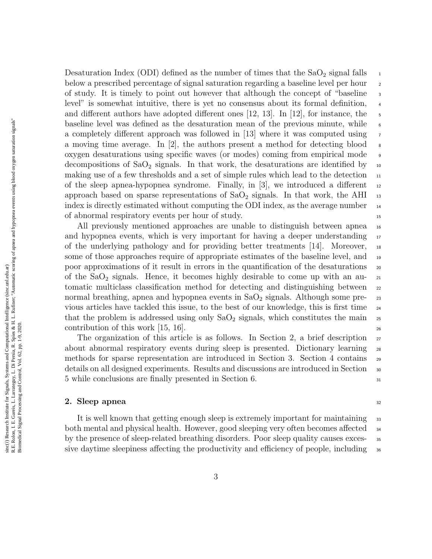R.E. Rolon, I. E. Gareis, L. Larrateguy, L. Di Persia, R. Spies & H. L. Rufiner; "Automatic scoring of apnea and hypopnea events using blood oxygen saturation signals" R.E. Rolon, I. E. Gareis, L. Larrateguy, L. Di Persia, R. Spies & H. L. Rufiner; "Automatic scoring of apnea and hypopnea events using blood oxygen saturation signals sinc(i) Research Institute for Signals, Systems and Computational Intelligence (sinc.unl.edu.ar) sinc(*i*) Research Institute for Signals, Systems and Computational Intelligence (sinc.unl.edu.ar) Biomedical Signal Processing and Control, Vol. 62, pp. 1-9, 2020 Biomedical Signal Processing and Control, Vol. 62, pp. 1-9, 2020.

Desaturation Index (ODI) defined as the number of times that the  $SaO<sub>2</sub>$  signal falls  $\frac{1}{2}$ below a prescribed percentage of signal saturation regarding a baseline level per hour 2 of study. It is timely to point out however that although the concept of "baseline <sup>3</sup> level" is somewhat intuitive, there is yet no consensus about its formal definition, <sup>4</sup> and different authors have adopted different ones [12, 13]. In [12], for instance, the baseline level was defined as the desaturation mean of the previous minute, while 6 a completely different approach was followed in  $|13|$  where it was computed using  $\tau$ a moving time average. In [2], the authors present a method for detecting blood  $\bullet$ oxygen desaturations using specific waves (or modes) coming from empirical mode <sup>9</sup> decompositions of  $SaO<sub>2</sub>$  signals. In that work, the desaturations are identified by 10 making use of a few thresholds and a set of simple rules which lead to the detection  $\frac{11}{11}$ of the sleep apnea-hypopnea syndrome. Finally, in  $[3]$ , we introduced a different  $\frac{12}{2}$ approach based on sparse representations of  $SaO<sub>2</sub>$  signals. In that work, the AHI  $_{13}$ index is directly estimated without computing the ODI index, as the average number <sup>14</sup> of abnormal respiratory events per hour of study. <sup>15</sup>

All previously mentioned approaches are unable to distinguish between apnea 16 and hypopnea events, which is very important for having a deeper understanding  $\frac{17}{2}$ of the underlying pathology and for providing better treatments [14]. Moreover, <sup>18</sup> some of those approaches require of appropriate estimates of the baseline level, and <sup>19</sup> poor approximations of it result in errors in the quantification of the desaturations  $\infty$ of the  $SaO<sub>2</sub>$  signals. Hence, it becomes highly desirable to come up with an automatic multiclass classification method for detecting and distinguishing between <sub>22</sub> normal breathing, apnea and hypopnea events in  $SaO<sub>2</sub>$  signals. Although some previous articles have tackled this issue, to the best of our knowledge, this is first time <sup>24</sup> that the problem is addressed using only  $SaO<sub>2</sub>$  signals, which constitutes the main 25 contribution of this work  $|15, 16|$ .

The organization of this article is as follows. In Section 2, a brief description  $_{27}$ about abnormal respiratory events during sleep is presented. Dictionary learning 28 methods for sparse representation are introduced in Section 3. Section 4 contains <sup>29</sup> details on all designed experiments. Results and discussions are introduced in Section <sup>30</sup> 5 while conclusions are finally presented in Section 6.  $\frac{31}{21}$ 

#### **2.** Sleep apnea  $\frac{32}{2}$

It is well known that getting enough sleep is extremely important for maintaining 33 both mental and physical health. However, good sleeping very often becomes affected  $\frac{34}{4}$ by the presence of sleep-related breathing disorders. Poor sleep quality causes exces- <sup>35</sup> sive daytime sleepiness affecting the productivity and efficiency of people, including  $\frac{36}{100}$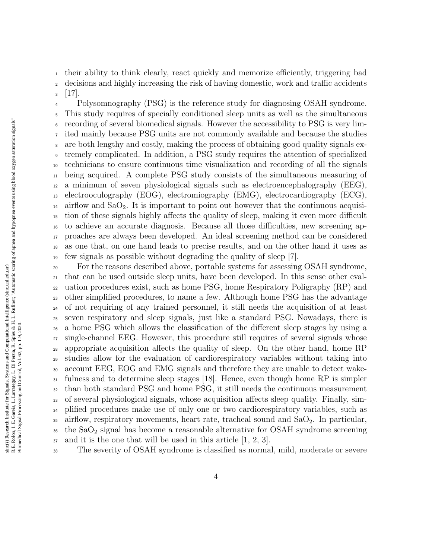their ability to think clearly, react quickly and memorize efficiently, triggering bad decisions and highly increasing the risk of having domestic, work and traffic accidents

 $3 \quad [17]$ .

 Polysomnography (PSG) is the reference study for diagnosing OSAH syndrome. This study requires of specially conditioned sleep units as well as the simultaneous recording of several biomedical signals. However the accessibility to PSG is very lim- ited mainly because PSG units are not commonly available and because the studies are both lengthy and costly, making the process of obtaining good quality signals ex- tremely complicated. In addition, a PSG study requires the attention of specialized technicians to ensure continuous time visualization and recording of all the signals being acquired. A complete PSG study consists of the simultaneous measuring of a minimum of seven physiological signals such as electroencephalography (EEG), electrooculography (EOG), electromiography (EMG), electrocardiography (ECG),  $_{14}$  airflow and SaO<sub>2</sub>. It is important to point out however that the continuous acquisi- tion of these signals highly affects the quality of sleep, making it even more difficult to achieve an accurate diagnosis. Because all those difficulties, new screening ap- proaches are always been developed. An ideal screening method can be considered as one that, on one hand leads to precise results, and on the other hand it uses as few signals as possible without degrading the quality of sleep [7].

 For the reasons described above, portable systems for assessing OSAH syndrome, that can be used outside sleep units, have been developed. In this sense other eval- uation procedures exist, such as home PSG, home Respiratory Poligraphy (RP) and other simplified procedures, to name a few. Although home PSG has the advantage of not requiring of any trained personnel, it still needs the acquisition of at least seven respiratory and sleep signals, just like a standard PSG. Nowadays, there is a home PSG which allows the classification of the different sleep stages by using a single-channel EEG. However, this procedure still requires of several signals whose appropriate acquisition affects the quality of sleep. On the other hand, home RP studies allow for the evaluation of cardiorespiratory variables without taking into account EEG, EOG and EMG signals and therefore they are unable to detect wake- fulness and to determine sleep stages [18]. Hence, even though home RP is simpler than both standard PSG and home PSG, it still needs the continuous measurement of several physiological signals, whose acquisition affects sleep quality. Finally, sim-<sup>34</sup> plified procedures make use of only one or two cardiorespiratory variables, such as 35 airflow, respiratory movements, heart rate, tracheal sound and  $SaO<sub>2</sub>$ . In particular, the SaO<sup>2</sup> signal has become a reasonable alternative for OSAH syndrome screening and it is the one that will be used in this article  $[1, 2, 3]$ .

The severity of OSAH syndrome is classified as normal, mild, moderate or severe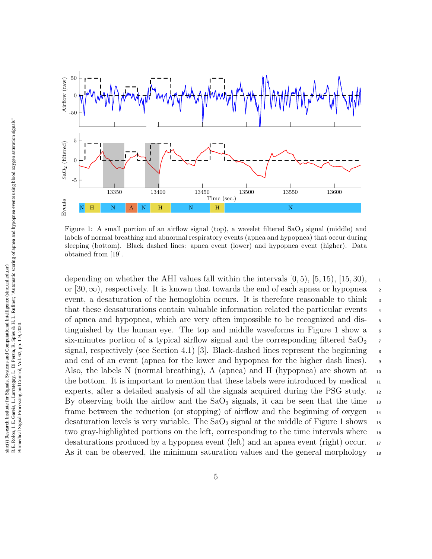

Figure 1: A small portion of an airflow signal (top), a wavelet filtered  $SaO<sub>2</sub>$  signal (middle) and labels of normal breathing and abnormal respiratory events (apnea and hypopnea) that occur during sleeping (bottom). Black dashed lines: apnea event (lower) and hypopnea event (higher). Data obtained from [19].

depending on whether the AHI values fall within the intervals  $[0, 5)$ ,  $[5, 15)$ ,  $[15, 30)$ , or [30,  $\infty$ ), respectively. It is known that towards the end of each apnea or hypopnea 2 event, a desaturation of the hemoglobin occurs. It is therefore reasonable to think  $\frac{3}{4}$ that these deasaturations contain valuable information related the particular events  $\frac{4}{4}$ of apnea and hypopnea, which are very often impossible to be recognized and dis- <sup>5</sup> tinguished by the human eye. The top and middle waveforms in Figure 1 show a 6 six-minutes portion of a typical airflow signal and the corresponding filtered  $SaO<sub>2</sub>$ signal, respectively (see Section 4.1) [3]. Black-dashed lines represent the beginning  $\frac{8}{3}$ and end of an event (apnea for the lower and hypopnea for the higher dash lines). <sup>9</sup> Also, the labels N (normal breathing), A (apnea) and H (hypopnea) are shown at  $_{10}$ the bottom. It is important to mention that these labels were introduced by medical  $\Box$ experts, after a detailed analysis of all the signals acquired during the PSG study. 12 By observing both the airflow and the  $SaO<sub>2</sub>$  signals, it can be seen that the time  $\frac{1}{13}$ frame between the reduction (or stopping) of airflow and the beginning of oxygen  $_{14}$ desaturation levels is very variable. The  $SaO<sub>2</sub>$  signal at the middle of Figure 1 shows  $\frac{15}{15}$ two gray-highlighted portions on the left, corresponding to the time intervals where  $_{16}$ desaturations produced by a hypopnea event (left) and an apnea event (right) occur. 17 As it can be observed, the minimum saturation values and the general morphology  $_{18}$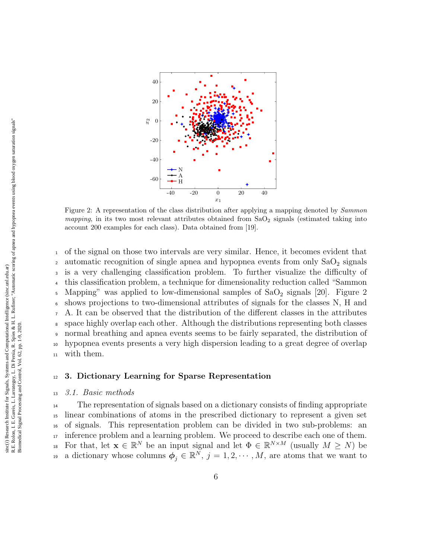

Figure 2: A representation of the class distribution after applying a mapping denoted by *Sammon* mapping, in its two most relevant attributes obtained from  $SaO<sub>2</sub>$  signals (estimated taking into account 200 examples for each class). Data obtained from [19].

 of the signal on those two intervals are very similar. Hence, it becomes evident that 2 automatic recognition of single apnea and hypopnea events from only  $SaO<sub>2</sub>$  signals is a very challenging classification problem. To further visualize the difficulty of this classification problem, a technique for dimensionality reduction called "Sammon  $\frac{1}{2}$  Mapping" was applied to low-dimensional samples of SaO<sub>2</sub> signals [20]. Figure 2 shows projections to two-dimensional attributes of signals for the classes N, H and A. It can be observed that the distribution of the different classes in the attributes space highly overlap each other. Although the distributions representing both classes normal breathing and apnea events seems to be fairly separated, the distribution of hypopnea events presents a very high dispersion leading to a great degree of overlap with them.

## <sup>12</sup> 3. Dictionary Learning for Sparse Representation

#### <sup>13</sup> 3.1. Basic methods

<sup>14</sup> The representation of signals based on a dictionary consists of finding appropriate <sup>15</sup> linear combinations of atoms in the prescribed dictionary to represent a given set <sup>16</sup> of signals. This representation problem can be divided in two sub-problems: an <sup>17</sup> inference problem and a learning problem. We proceed to describe each one of them. <sup>18</sup> For that, let  $\mathbf{x} \in \mathbb{R}^N$  be an input signal and let  $\Phi \in \mathbb{R}^{N \times M}$  (usually  $M \geq N$ ) be <sup>19</sup> a dictionary whose columns  $\boldsymbol{\phi}_j \in \mathbb{R}^N$ ,  $j = 1, 2, \cdots, M$ , are atoms that we want to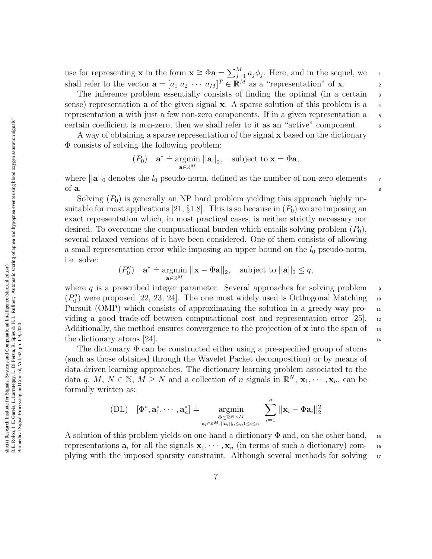use for representing **x** in the form  $\mathbf{x} \cong \Phi \mathbf{a} = \sum_{j=1}^{M} a_j \phi_j$ . Here, and in the sequel, we shall refer to the vector  $\mathbf{a} = [a_1 \ a_2 \ \cdots \ a_M]^T \in \mathbb{R}^M$  as a "representation" of **x**.

The inference problem essentially consists of finding the optimal (in a certain  $\frac{1}{3}$ sense) representation **a** of the given signal **x**. A sparse solution of this problem is a  $\rightarrow$ representation **a** with just a few non-zero components. If in a given representation  $a = 5$ certain coefficient is non-zero, then we shall refer to it as an "active" component. <sup>6</sup>

A way of obtaining a sparse representation of the signal x based on the dictionary Φ consists of solving the following problem:

$$
(P_0) \quad \mathbf{a}^* \doteq \underset{\mathbf{a} \in \mathbb{R}^M}{\text{argmin}} \left\| \mathbf{a} \right\|_0, \quad \text{subject to } \mathbf{x} = \Phi \mathbf{a},
$$

where  $||\mathbf{a}||_0$  denotes the  $l_0$  pseudo-norm, defined as the number of non-zero elements  $\tau$ of  $a$ .

Solving  $(P_0)$  is generally an NP hard problem yielding this approach highly unsuitable for most applications [21,  $\S1.8$ ]. This is so because in  $(P_0)$  we are imposing an exact representation which, in most practical cases, is neither strictly necessary nor desired. To overcome the computational burden which entails solving problem  $(P_0)$ , several relaxed versions of it have been considered. One of them consists of allowing a small representation error while imposing an upper bound on the  $l_0$  pseudo-norm, i.e. solve:

$$
(P_0^q) \quad \mathbf{a}^* \doteq \underset{\mathbf{a} \in \mathbb{R}^M}{\text{argmin}} \; ||\mathbf{x} - \Phi \mathbf{a}||_2, \quad \text{subject to } ||\mathbf{a}||_0 \leq q,
$$

where q is a prescribed integer parameter. Several approaches for solving problem  $\overline{9}$  $(P_0^q)$  $\binom{q}{0}$  were proposed [22, 23, 24]. The one most widely used is Orthogonal Matching 10 Pursuit (OMP) which consists of approximating the solution in a greedy way providing a good trade-off between computational cost and representation error [25]. <sup>12</sup> Additionally, the method ensures convergence to the projection of  $\bf{x}$  into the span of 13 the dictionary atoms [24].  $\frac{14}{14}$ 

The dictionary  $\Phi$  can be constructed either using a pre-specified group of atoms (such as those obtained through the Wavelet Packet decomposition) or by means of data-driven learning approaches. The dictionary learning problem associated to the data q, M,  $N \in \mathbb{N}$ ,  $M \geq N$  and a collection of n signals in  $\mathbb{R}^N$ ,  $\mathbf{x}_1, \dots, \mathbf{x}_n$ , can be formally written as:

$$
(DL) \quad [\Phi^*, \mathbf{a}_1^*, \cdots, \mathbf{a}_n^*] \doteq \operatorname*{argmin}_{\substack{\Phi \in \mathbb{R}^{N \times M} \\ \mathbf{a}_i \in \mathbb{R}^M, ||\mathbf{a}_i||_0 \leq q, 1 \leq i \leq n.}} \sum_{i=1}^n ||\mathbf{x}_i - \Phi \mathbf{a}_i||_2^2
$$

A solution of this problem yields on one hand a dictionary  $\Phi$  and, on the other hand, 15 representations  $\mathbf{a}_i$  for all the signals  $\mathbf{x}_1, \cdots, \mathbf{x}_n$  (in terms of such a dictionary) complying with the imposed sparsity constraint. Although several methods for solving <sup>17</sup>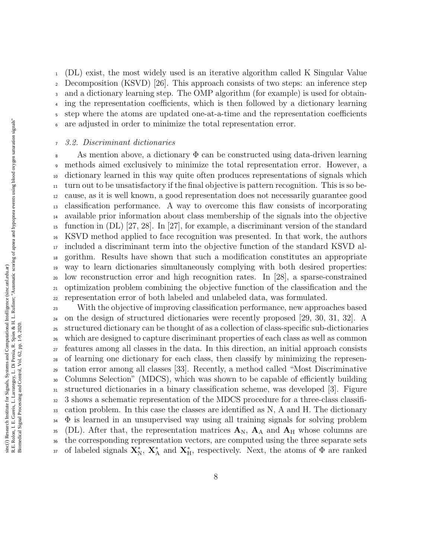(DL) exist, the most widely used is an iterative algorithm called K Singular Value Decomposition (KSVD) [26]. This approach consists of two steps: an inference step and a dictionary learning step. The OMP algorithm (for example) is used for obtain- ing the representation coefficients, which is then followed by a dictionary learning step where the atoms are updated one-at-a-time and the representation coefficients are adjusted in order to minimize the total representation error.

#### 3.2. Discriminant dictionaries

8 As mention above, a dictionary  $\Phi$  can be constructed using data-driven learning methods aimed exclusively to minimize the total representation error. However, a dictionary learned in this way quite often produces representations of signals which turn out to be unsatisfactory if the final objective is pattern recognition. This is so be- cause, as it is well known, a good representation does not necessarily guarantee good classification performance. A way to overcome this flaw consists of incorporating available prior information about class membership of the signals into the objective function in (DL) [27, 28]. In [27], for example, a discriminant version of the standard KSVD method applied to face recognition was presented. In that work, the authors included a discriminant term into the objective function of the standard KSVD al- gorithm. Results have shown that such a modification constitutes an appropriate way to learn dictionaries simultaneously complying with both desired properties: low reconstruction error and high recognition rates. In [28], a sparse-constrained optimization problem combining the objective function of the classification and the representation error of both labeled and unlabeled data, was formulated.

 With the objective of improving classification performance, new approaches based on the design of structured dictionaries were recently proposed [29, 30, 31, 32]. A structured dictionary can be thought of as a collection of class-specific sub-dictionaries which are designed to capture discriminant properties of each class as well as common features among all classes in the data. In this direction, an initial approach consists of learning one dictionary for each class, then classify by minimizing the represen- tation error among all classes [33]. Recently, a method called "Most Discriminative Columns Selection" (MDCS), which was shown to be capable of efficiently building structured dictionaries in a binary classification scheme, was developed [3]. Figure 3 shows a schematic representation of the MDCS procedure for a three-class classifi- cation problem. In this case the classes are identified as N, A and H. The dictionary  $34 \Phi$  is learned in an unsupervised way using all training signals for solving problem 35 (DL). After that, the representation matrices  $A_N$ ,  $A_A$  and  $A_H$  whose columns are the corresponding representation vectors, are computed using the three separate sets <sup>37</sup> of labeled signals  $\mathbf{X}_N^*$ ,  $\mathbf{X}_A^*$  and  $\mathbf{X}_H^*$ , respectively. Next, the atoms of  $\Phi$  are ranked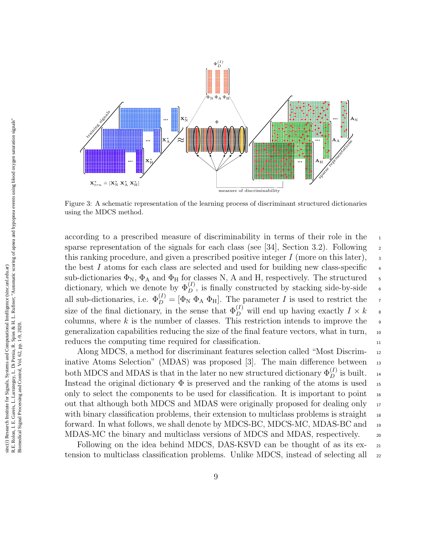

Figure 3: A schematic representation of the learning process of discriminant structured dictionaries using the MDCS method.

according to a prescribed measure of discriminability in terms of their role in the sparse representation of the signals for each class (see [34], Section 3.2). Following  $\frac{2}{3}$ this ranking procedure, and given a prescribed positive integer  $I$  (more on this later),  $\frac{3}{2}$ the best  $I$  atoms for each class are selected and used for building new class-specific sub-dictionaries  $\Phi_N$ ,  $\Phi_A$  and  $\Phi_H$  for classes N, A and H, respectively. The structured dictionary, which we denote by  $\Phi_D^{(I)}$ , is finally constructed by stacking side-by-side 6 all sub-dictionaries, i.e.  $\Phi_D^{(I)} = [\Phi_N \ \Phi_A \ \Phi_H]$ . The parameter I is used to restrict the  $\tau$ size of the final dictionary, in the sense that  $\Phi_D^{(I)}$  will end up having exactly  $I \times k$  8 columns, where  $k$  is the number of classes. This restriction intends to improve the generalization capabilities reducing the size of the final feature vectors, what in turn, <sup>10</sup> reduces the computing time required for classification. 11

Along MDCS, a method for discriminant features selection called "Most Discrim- <sup>12</sup> inative Atoms Selection" (MDAS) was proposed [3]. The main difference between 13 both MDCS and MDAS is that in the later no new structured dictionary  $\Phi_D^{(I)}$  is built. 14 Instead the original dictionary  $\Phi$  is preserved and the ranking of the atoms is used 15 only to select the components to be used for classification. It is important to point  $_{16}$ out that although both MDCS and MDAS were originally proposed for dealing only <sup>17</sup> with binary classification problems, their extension to multiclass problems is straight  $_{18}$ forward. In what follows, we shall denote by MDCS-BC, MDCS-MC, MDAS-BC and <sup>19</sup> MDAS-MC the binary and multiclass versions of MDCS and MDAS, respectively. 20

Following on the idea behind MDCS, DAS-KSVD can be thought of as its ex- 21 tension to multiclass classification problems. Unlike MDCS, instead of selecting all  $_{22}$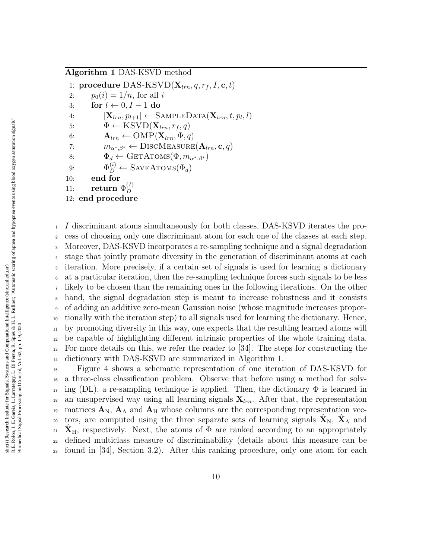# Algorithm 1 DAS-KSVD method

1: procedure DAS-KSVD $(X_{trn}, q, r_f, I, c, t)$ 2:  $p_0(i) = 1/n$ , for all i 3: for  $l \leftarrow 0, I - 1$  do 4:  $[\mathbf{X}_{lrn}, p_{l+1}] \leftarrow \text{SAMPLEDATA}(\mathbf{X}_{trn}, t, p_l, l)$ 5:  $\Phi \leftarrow \text{KSVD}(\mathbf{X}_{lrn}, r_f, q)$ 6:  $\mathbf{A}_{lm} \leftarrow \text{OMP}(\mathbf{X}_{lm}, \Phi, q)$ 7:  $m_{\alpha^*,\beta^*} \leftarrow \text{DiscM}(\mathbf{A}_{lm}, \mathbf{c}, q)$ 8:  $\Phi_d \leftarrow \text{GETATOMS}(\Phi, m_{\alpha^*, \beta^*})$ 9:  $\Phi_D^{(i)} \leftarrow$  SAVEATOMS $(\Phi_d)$ 10: end for 11: return  $\Phi_D^{(I)}$ D 12: end procedure

 I discriminant atoms simultaneously for both classes, DAS-KSVD iterates the pro- cess of choosing only one discriminant atom for each one of the classes at each step. Moreover, DAS-KSVD incorporates a re-sampling technique and a signal degradation stage that jointly promote diversity in the generation of discriminant atoms at each iteration. More precisely, if a certain set of signals is used for learning a dictionary at a particular iteration, then the re-sampling technique forces such signals to be less likely to be chosen than the remaining ones in the following iterations. On the other hand, the signal degradation step is meant to increase robustness and it consists of adding an additive zero-mean Gaussian noise (whose magnitude increases propor- tionally with the iteration step) to all signals used for learning the dictionary. Hence, by promoting diversity in this way, one expects that the resulting learned atoms will be capable of highlighting different intrinsic properties of the whole training data. For more details on this, we refer the reader to [34]. The steps for constructing the dictionary with DAS-KSVD are summarized in Algorithm 1.

<sup>15</sup> Figure 4 shows a schematic representation of one iteration of DAS-KSVD for <sup>16</sup> a three-class classification problem. Observe that before using a method for solv- $_{17}$  ing (DL), a re-sampling technique is applied. Then, the dictionary  $\Phi$  is learned in <sup>18</sup> an unsupervised way using all learning signals  $X_{lm}$ . After that, the representation <sup>19</sup> matrices  $\mathbf{A}_{N}$ ,  $\mathbf{A}_{A}$  and  $\mathbf{A}_{H}$  whose columns are the corresponding representation vectors, are computed using the three separate sets of learning signals  $\hat{\mathbf{X}}_N$ ,  $\hat{\mathbf{X}}_A$  and <sup>21</sup> **X**<sub>H</sub>, respectively. Next, the atoms of  $\Phi$  are ranked according to an appropriately <sup>22</sup> defined multiclass measure of discriminability (details about this measure can be <sup>23</sup> found in [34], Section 3.2). After this ranking procedure, only one atom for each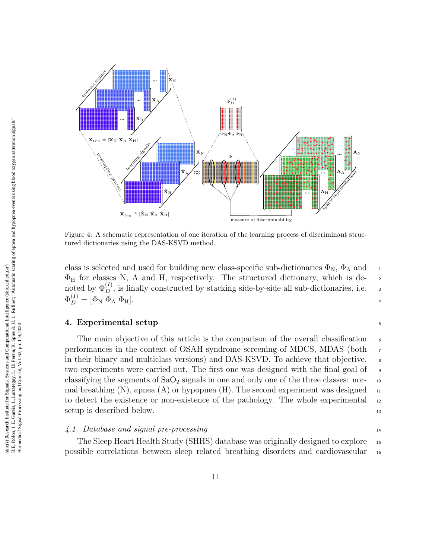

Figure 4: A schematic representation of one iteration of the learning process of discriminant structured dictionaries using the DAS-KSVD method.

class is selected and used for building new class-specific sub-dictionaries  $\Phi_{N}$ ,  $\Phi_{A}$  and  $\Phi_H$  for classes N, A and H, respectively. The structured dictionary, which is denoted by  $\Phi_D^{(I)}$ , is finally constructed by stacking side-by-side all sub-dictionaries, i.e.  $\Phi_D^{(I)} = [\Phi_{\rm N} \; \Phi_{\rm A} \; \Phi_{\rm H}].$ 

# 4. Experimental setup <sup>5</sup>

The main objective of this article is the comparison of the overall classification performances in the context of OSAH syndrome screening of MDCS, MDAS (both <sup>7</sup> in their binary and multiclass versions) and DAS-KSVD. To achieve that objective,  $\Box$ two experiments were carried out. The first one was designed with the final goal of <sup>9</sup> classifying the segments of  $SaO<sub>2</sub>$  signals in one and only one of the three classes: normal breathing  $(N)$ , apnea  $(A)$  or hypopnea  $(H)$ . The second experiment was designed 11 to detect the existence or non-existence of the pathology. The whole experimental  $_{12}$ setup is described below. 13

4.1. Database and signal pre-processing 14

The Sleep Heart Health Study (SHHS) database was originally designed to explore <sup>15</sup> possible correlations between sleep related breathing disorders and cardiovascular <sup>16</sup>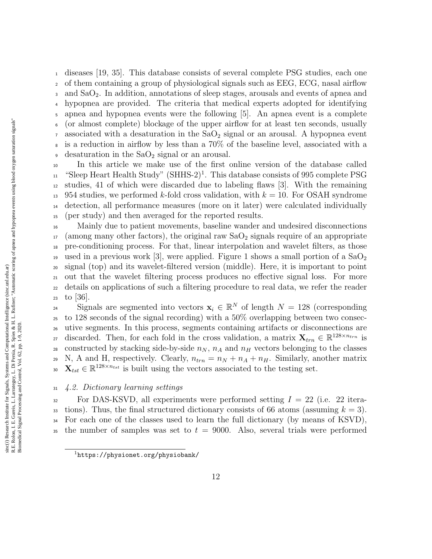diseases [19, 35]. This database consists of several complete PSG studies, each one of them containing a group of physiological signals such as EEG, ECG, nasal airflow and SaO2. In addition, annotations of sleep stages, arousals and events of apnea and hypopnea are provided. The criteria that medical experts adopted for identifying apnea and hypopnea events were the following [5]. An apnea event is a complete (or almost complete) blockage of the upper airflow for at least ten seconds, usually  $\sigma$  associated with a desaturation in the  $\text{SaO}_2$  signal or an arousal. A hypopnea event is a reduction in airflow by less than a 70% of the baseline level, associated with a  $\bullet$  desaturation in the SaO<sub>2</sub> signal or an arousal. In this article we make use of the first online version of the database called

 $_{11}$  "Sleep Heart Health Study" (SHHS-2)<sup>1</sup>. This database consists of 995 complete PSG <sup>12</sup> studies, 41 of which were discarded due to labeling flaws [3]. With the remaining <sup>13</sup> 954 studies, we performed k-fold cross validation, with  $k = 10$ . For OSAH syndrome <sup>14</sup> detection, all performance measures (more on it later) were calculated individually <sup>15</sup> (per study) and then averaged for the reported results.

 Mainly due to patient movements, baseline wander and undesired disconnections (among many other factors), the original raw  $SaO<sub>2</sub>$  signals require of an appropriate pre-conditioning process. For that, linear interpolation and wavelet filters, as those 19 used in a previous work [3], were applied. Figure 1 shows a small portion of a  $SaO<sub>2</sub>$  signal (top) and its wavelet-filtered version (middle). Here, it is important to point out that the wavelet filtering process produces no effective signal loss. For more details on applications of such a filtering procedure to real data, we refer the reader 23 to [36].

Signals are segmented into vectors  $\mathbf{x}_i \in \mathbb{R}^N$  of length  $N = 128$  (corresponding <sup>25</sup> to 128 seconds of the signal recording) with a 50% overlapping between two consec-<sup>26</sup> utive segments. In this process, segments containing artifacts or disconnections are a discarded. Then, for each fold in the cross validation, a matrix  $\mathbf{X}_{trn} \in \mathbb{R}^{128 \times n_{trn}}$  is 28 constructed by stacking side-by-side  $n_N$ ,  $n_A$  and  $n_H$  vectors belonging to the classes 29 N, A and H, respectively. Clearly,  $n_{trn} = n_N + n_A + n_H$ . Similarly, another matrix 30  $\mathbf{X}_{tst} \in \mathbb{R}^{128 \times n_{tst}}$  is built using the vectors associated to the testing set.

## <sup>31</sup> 4.2. Dictionary learning settings

 $32$  For DAS-KSVD, all experiments were performed setting  $I = 22$  (i.e. 22 itera-33 tions). Thus, the final structured dictionary consists of 66 atoms (assuming  $k = 3$ ). <sup>34</sup> For each one of the classes used to learn the full dictionary (by means of KSVD), <sup>35</sup> the number of samples was set to  $t = 9000$ . Also, several trials were performed

<sup>1</sup>https://physionet.org/physiobank/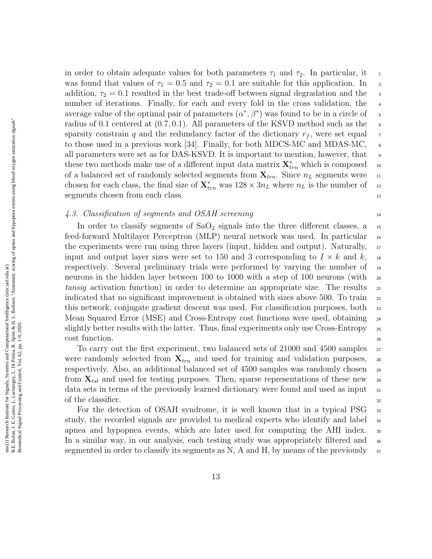R.E. Rolon, I. E. Gareis, L. Larrateguy, L. Di Persia, R. Spies & H. L. Rufiner; "Automatic scoring of apnea and hypopnea events using blood oxygen saturation signals" R.E. Rolon, I. E. Gareis, L. Larrateguy, L. Di Persia, R. Spies & H. L. Rufiner; "Automatic scoring of apnea and hypopnea events using blood oxygen saturation signals" sinc(i) Research Institute for Signals, Systems and Computational Intelligence (sinc.unl.edu.ar) sinc(*i*) Research Institute for Signals, Systems and Computational Intelligence (sinc.unl.edu.ar) Biomedical Signal Processing and Control, Vol. 62, pp. 1-9, 2020. Biomedical Signal Processing and Control, Vol. 62, pp. 1-9, 2020.

in order to obtain adequate values for both parameters  $\tau_1$  and  $\tau_2$ . In particular, it 1 was found that values of  $\tau_1 = 0.5$  and  $\tau_2 = 0.1$  are suitable for this application. In 2 addition,  $\tau_2 = 0.1$  resulted in the best trade-off between signal degradation and the  $\tau_3$ number of iterations. Finally, for each and every fold in the cross validation, the average value of the optimal pair of parameters  $(\alpha^*, \beta^*)$  was found to be in a circle of 5 radius of 0.1 centered at  $(0.7, 0.1)$ . All parameters of the KSVD method such as the 6 sparsity constrain q and the redundancy factor of the dictionary  $r_f$ , were set equal  $\tau$ to those used in a previous work [34]. Finally, for both MDCS-MC and MDAS-MC,  $\overline{\phantom{a}}$ all parameters were set as for DAS-KSVD. It is important to mention, however, that <sup>9</sup> these two methods make use of a different input data matrix  $\mathbf{X}_{trn}^*$  which is composed 10 of a balanced set of randomly selected segments from  $\mathbf{X}_{trn}$ . Since  $n_L$  segments were 11 chosen for each class, the final size of  $\mathbf{X}_{trn}^{*}$  was  $128 \times 3n_L$  where  $n_L$  is the number of 12 segments chosen from each class. 13

# 4.3. Classification of segments and OSAH screening 14

In order to classify segments of  $SaO<sub>2</sub>$  signals into the three different classes, a  $\mu$ feed-forward Multilayer Perceptron (MLP) neural network was used. In particular <sup>16</sup> the experiments were run using three layers (input, hidden and output). Naturally,  $_{17}$ input and output layer sizes were set to 150 and 3 corresponding to  $I \times k$  and k, 18 respectively. Several preliminary trials were performed by varying the number of <sup>19</sup> neurons in the hidden layer between 100 to 1000 with a step of 100 neurons (with 20 tansig activation function) in order to determine an appropriate size. The results  $_{21}$ indicated that no significant improvement is obtained with sizes above 500. To train  $_{22}$ this network, conjugate gradient descent was used. For classification purposes, both <sup>23</sup> Mean Squared Error (MSE) and Cross-Entropy cost functions were used, obtaining <sup>24</sup> slightly better results with the latter. Thus, final experiments only use Cross-Entropy 25 cost function.

To carry out the first experiment, two balanced sets of 21000 and 4500 samples 27 were randomly selected from  $X_{trn}$  and used for training and validation purposes, 28 respectively. Also, an additional balanced set of 4500 samples was randomly chosen <sup>29</sup> from  $\mathbf{X}_{tst}$  and used for testing purposes. Then, sparse representations of these new 30 data sets in terms of the previously learned dictionary were found and used as input 31 of the classifier.  $\frac{32}{2}$ 

For the detection of OSAH syndrome, it is well known that in a typical PSG 33 study, the recorded signals are provided to medical experts who identify and label <sup>34</sup> apnea and hypopnea events, which are later used for computing the AHI index.  $\frac{35}{100}$ In a similar way, in our analysis, each testing study was appropriately filtered and <sup>36</sup> segmented in order to classify its segments as N, A and H, by means of the previously  $\frac{37}{27}$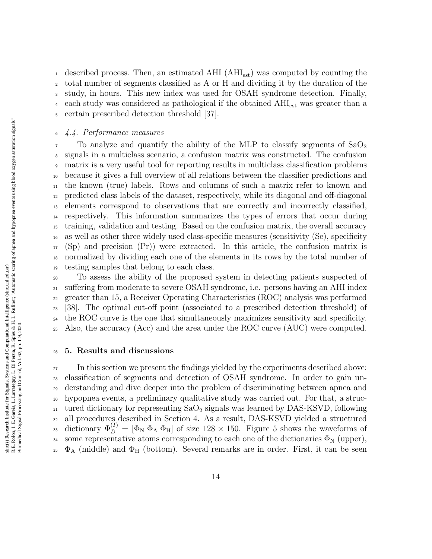<sup>1</sup> described process. Then, an estimated AHI (AHI<sub>est</sub>) was computed by counting the total number of segments classified as A or H and dividing it by the duration of the study, in hours. This new index was used for OSAH syndrome detection. Finally, <sup>4</sup> each study was considered as pathological if the obtained  $AHI_{est}$  was greater than a certain prescribed detection threshold [37].

# 4.4. Performance measures

 $7\degree$  To analyze and quantify the ability of the MLP to classify segments of  $SaO<sub>2</sub>$  signals in a multiclass scenario, a confusion matrix was constructed. The confusion matrix is a very useful tool for reporting results in multiclass classification problems because it gives a full overview of all relations between the classifier predictions and the known (true) labels. Rows and columns of such a matrix refer to known and predicted class labels of the dataset, respectively, while its diagonal and off-diagonal elements correspond to observations that are correctly and incorrectly classified, respectively. This information summarizes the types of errors that occur during training, validation and testing. Based on the confusion matrix, the overall accuracy as well as other three widely used class-specific measures (sensitivity (Se), specificity (Sp) and precision (Pr)) were extracted. In this article, the confusion matrix is normalized by dividing each one of the elements in its rows by the total number of testing samples that belong to each class.

 To assess the ability of the proposed system in detecting patients suspected of suffering from moderate to severe OSAH syndrome, i.e. persons having an AHI index greater than 15, a Receiver Operating Characteristics (ROC) analysis was performed [38]. The optimal cut-off point (associated to a prescribed detection threshold) of the ROC curve is the one that simultaneously maximizes sensitivity and specificity. Also, the accuracy (Acc) and the area under the ROC curve (AUC) were computed.

## 5. Results and discussions

<sup>27</sup> In this section we present the findings yielded by the experiments described above: classification of segments and detection of OSAH syndrome. In order to gain un- derstanding and dive deeper into the problem of discriminating between apnea and hypopnea events, a preliminary qualitative study was carried out. For that, a struc- tured dictionary for representing  $SaO<sub>2</sub>$  signals was learned by DAS-KSVD, following all procedures described in Section 4. As a result, DAS-KSVD yielded a structured 33 dictionary  $\Phi_D^{(I)} = [\Phi_N \Phi_A \Phi_H]$  of size 128 × 150. Figure 5 shows the waveforms of 34 some representative atoms corresponding to each one of the dictionaries  $\Phi_N$  (upper),  $\Phi_{\rm A}$  (middle) and  $\Phi_{\rm H}$  (bottom). Several remarks are in order. First, it can be seen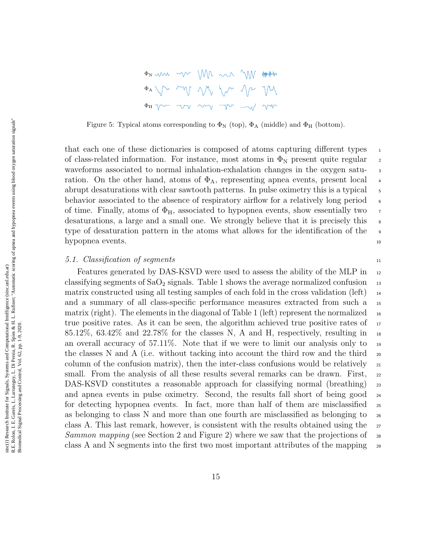| $\Phi$ A $\sim$ and $\sim$ $\sim$ $\sim$ $\sim$ $\sim$ $\sim$                                                                        |  |  |  |
|--------------------------------------------------------------------------------------------------------------------------------------|--|--|--|
| $\Phi_{\rm H} \ \gamma \sim \ \ \gamma \gamma \ \ \gamma \gamma \ \ \gamma \sim \ \ \gamma \sim \ \ \gamma \gamma \ \ \gamma \gamma$ |  |  |  |

Figure 5: Typical atoms corresponding to  $\Phi_N$  (top),  $\Phi_A$  (middle) and  $\Phi_H$  (bottom).

that each one of these dictionaries is composed of atoms capturing different types  $\frac{1}{10}$ of class-related information. For instance, most atoms in  $\Phi_N$  present quite regular 2 waveforms associated to normal inhalation-exhalation changes in the oxygen saturation. On the other hand, atoms of  $\Phi_A$ , representing apnea events, present local  $\overline{4}$ abrupt desaturations with clear sawtooth patterns. In pulse oximetry this is a typical <sup>5</sup> behavior associated to the absence of respiratory airflow for a relatively long period 6 of time. Finally, atoms of  $\Phi_H$ , associated to hypopnea events, show essentially two desaturations, a large and a small one. We strongly believe that it is precisely this  $\frac{1}{8}$ type of desaturation pattern in the atoms what allows for the identification of the <sup>9</sup> hypopnea events. 10

## 5.1. Classification of segments 11

Features generated by DAS-KSVD were used to assess the ability of the MLP in  $_{12}$ classifying segments of  $SaO<sub>2</sub>$  signals. Table 1 shows the average normalized confusion  $13$ matrix constructed using all testing samples of each fold in the cross validation (left)  $_{14}$ and a summary of all class-specific performance measures extracted from such a 15 matrix (right). The elements in the diagonal of Table 1 (left) represent the normalized  $_{16}$ true positive rates. As it can be seen, the algorithm achieved true positive rates of  $\frac{17}{17}$ 85.12%, 63.42% and 22.78% for the classes N, A and H, respectively, resulting in  $\mu$ an overall accuracy of  $57.11\%$ . Note that if we were to limit our analysis only to  $_{19}$ the classes N and A (i.e. without tacking into account the third row and the third  $_{20}$ column of the confusion matrix), then the inter-class confusions would be relatively  $_{21}$ small. From the analysis of all these results several remarks can be drawn. First, 22 DAS-KSVD constitutes a reasonable approach for classifying normal (breathing) 23 and apnea events in pulse oximetry. Second, the results fall short of being good  $_{24}$ for detecting hypopnea events. In fact, more than half of them are misclassified  $_{25}$ as belonging to class N and more than one fourth are misclassified as belonging to <sup>26</sup> class A. This last remark, however, is consistent with the results obtained using the  $_{27}$ Sammon mapping (see Section 2 and Figure 2) where we saw that the projections of  $\sim$ class A and N segments into the first two most important attributes of the mapping  $\frac{29}{2}$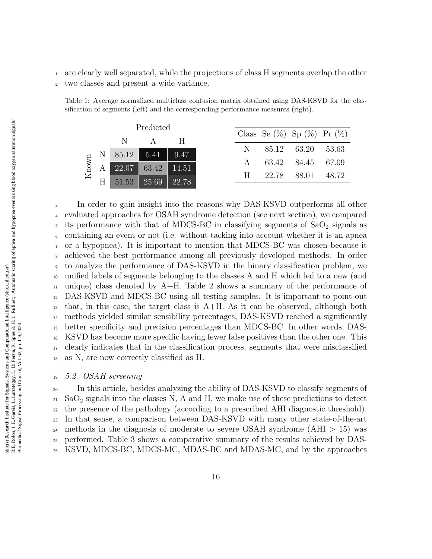- <sup>1</sup> are clearly well separated, while the projections of class H segments overlap the other
- <sup>2</sup> two classes and present a wide variance.

| Predicted |  |                                                                          |                   |  |  |                                     |  |
|-----------|--|--------------------------------------------------------------------------|-------------------|--|--|-------------------------------------|--|
|           |  |                                                                          |                   |  |  | Class Se $(\%)$ Sp $(\%)$ Pr $(\%)$ |  |
|           |  | N.                                                                       | A H               |  |  | N 85.12 63.20 53.63                 |  |
|           |  | N 85.12 5.41 9.47                                                        |                   |  |  | A 63.42 84.45 67.09                 |  |
| Known     |  |                                                                          | 22.07 63.42 14.51 |  |  |                                     |  |
|           |  | $\begin{array}{ c c c c c }\n\hline\n51.53 & 25.69 & 22.78\n\end{array}$ |                   |  |  | H 22.78 88.01 48.72                 |  |

Table 1: Average normalized multiclass confusion matrix obtained using DAS-KSVD for the classification of segments (left) and the corresponding performance measures (right).

 In order to gain insight into the reasons why DAS-KSVD outperforms all other evaluated approaches for OSAH syndrome detection (see next section), we compared  $\frac{1}{5}$  its performance with that of MDCS-BC in classifying segments of SaO<sub>2</sub> signals as containing an event or not (i.e. without tacking into account whether it is an apnea or a hypopnea). It is important to mention that MDCS-BC was chosen because it achieved the best performance among all previously developed methods. In order to analyze the performance of DAS-KSVD in the binary classification problem, we unified labels of segments belonging to the classes A and H which led to a new (and  $_{11}$  unique) class denoted by A+H. Table 2 shows a summary of the performance of DAS-KSVD and MDCS-BC using all testing samples. It is important to point out that, in this case, the target class is A+H. As it can be observed, although both methods yielded similar sensibility percentages, DAS-KSVD reached a significantly better specificity and precision percentages than MDCS-BC. In other words, DAS- KSVD has become more specific having fewer false positives than the other one. This clearly indicates that in the classification process, segments that were misclassified as N, are now correctly classified as H.

# <sup>19</sup> 5.2. OSAH screening

 In this article, besides analyzing the ability of DAS-KSVD to classify segments of  $_{21}$  SaO<sub>2</sub> signals into the classes N, A and H, we make use of these predictions to detect the presence of the pathology (according to a prescribed AHI diagnostic threshold). In that sense, a comparison between DAS-KSVD with many other state-of-the-art <sup>24</sup> methods in the diagnosis of moderate to severe OSAH syndrome (AHI  $> 15$ ) was performed. Table 3 shows a comparative summary of the results achieved by DAS-KSVD, MDCS-BC, MDCS-MC, MDAS-BC and MDAS-MC, and by the approaches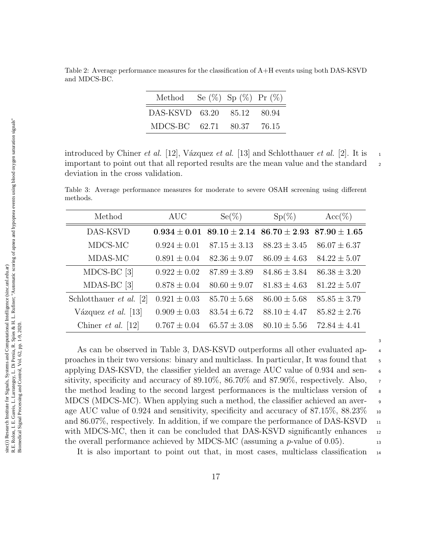Table 2: Average performance measures for the classification of A+H events using both DAS-KSVD and MDCS-BC.

| Method                     | Se $(\%)$ Sp $(\%)$ Pr $(\%)$ |  |
|----------------------------|-------------------------------|--|
| DAS-KSVD 63.20 85.12 80.94 |                               |  |
| MDCS-BC 62.71 80.37 76.15  |                               |  |

introduced by Chiner *et al.* [12], Vázquez *et al.* [13] and Schlotthauer *et al.* [2]. It is 1 important to point out that all reported results are the mean value and the standard  $\frac{2}{3}$ deviation in the cross validation.

Table 3: Average performance measures for moderate to severe OSAH screening using different methods.

| Method                         | <b>AUC</b>       | $Se(\%)$         | $Sp(\%)$         | $Acc(\%)$        |
|--------------------------------|------------------|------------------|------------------|------------------|
| DAS-KSVD                       | $0.934 + 0.01$   | $89.10 + 2.14$   | $86.70 + 2.93$   | $87.90 + 1.65$   |
| MDCS-MC                        | $0.924 + 0.01$   | $87.15 \pm 3.13$ | $88.23 + 3.45$   | $86.07 + 6.37$   |
| MDAS-MC                        | $0.891 \pm 0.04$ | $82.36 \pm 9.07$ | $86.09 \pm 4.63$ | $84.22 \pm 5.07$ |
| $MDCS-BC$ [3]                  | $0.922 + 0.02$   | $87.89 \pm 3.89$ | $84.86 \pm 3.84$ | $86.38 + 3.20$   |
| $MDAS-BC$ [3]                  | $0.878 \pm 0.04$ | $80.60 \pm 9.07$ | $81.83 \pm 4.63$ | $81.22 \pm 5.07$ |
| Schlotthauer <i>et al.</i> [2] | $0.921 \pm 0.03$ | $85.70 \pm 5.68$ | $86.00 \pm 5.68$ | $85.85 \pm 3.79$ |
| Vázquez <i>et al.</i> [13]     | $0.909 \pm 0.03$ | $83.54 \pm 6.72$ | $88.10 \pm 4.47$ | $85.82 + 2.76$   |
| Chiner <i>et al.</i> [12]      | $0.767 \pm 0.04$ | $65.57 \pm 3.08$ | $80.10 \pm 5.56$ | $72.84 + 4.41$   |

As can be observed in Table 3, DAS-KSVD outperforms all other evaluated ap- <sup>4</sup> proaches in their two versions: binary and multiclass. In particular, It was found that <sup>5</sup> applying DAS-KSVD, the classifier yielded an average AUC value of 0.934 and sen- <sup>6</sup> sitivity, specificity and accuracy of  $89.10\%$ ,  $86.70\%$  and  $87.90\%$ , respectively. Also, the method leading to the second largest performances is the multiclass version of  $\epsilon$ MDCS (MDCS-MC). When applying such a method, the classifier achieved an aver- <sup>9</sup> age AUC value of 0.924 and sensitivity, specificity and accuracy of  $87.15\%$ ,  $88.23\%$  10 and  $86.07\%$ , respectively. In addition, if we compare the performance of DAS-KSVD  $_{11}$ with MDCS-MC, then it can be concluded that DAS-KSVD significantly enhances  $_{12}$ the overall performance achieved by MDCS-MC (assuming a  $p$ -value of 0.05).

3

It is also important to point out that, in most cases, multiclass classification <sup>14</sup>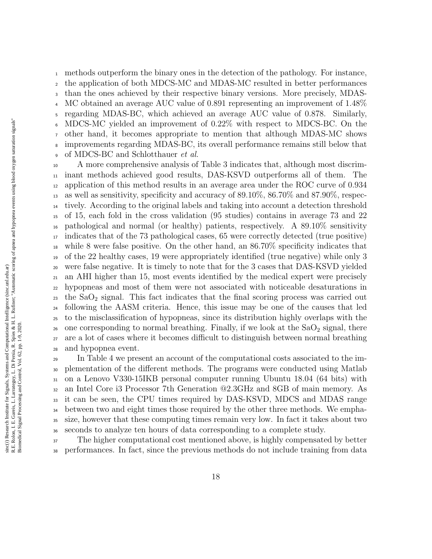methods outperform the binary ones in the detection of the pathology. For instance, the application of both MDCS-MC and MDAS-MC resulted in better performances than the ones achieved by their respective binary versions. More precisely, MDAS- MC obtained an average AUC value of 0.891 representing an improvement of 1.48% regarding MDAS-BC, which achieved an average AUC value of 0.878. Similarly, MDCS-MC yielded an improvement of 0.22% with respect to MDCS-BC. On the other hand, it becomes appropriate to mention that although MDAS-MC shows improvements regarding MDAS-BC, its overall performance remains still below that of MDCS-BC and Schlotthauer et al.

 A more comprehensive analysis of Table 3 indicates that, although most discrim- inant methods achieved good results, DAS-KSVD outperforms all of them. The application of this method results in an average area under the ROC curve of 0.934 as well as sensitivity, specificity and accuracy of 89.10%, 86.70% and 87.90%, respec- tively. According to the original labels and taking into account a detection threshold of 15, each fold in the cross validation (95 studies) contains in average 73 and 22 pathological and normal (or healthy) patients, respectively. A 89.10% sensitivity indicates that of the 73 pathological cases, 65 were correctly detected (true positive) while 8 were false positive. On the other hand, an 86.70% specificity indicates that of the 22 healthy cases, 19 were appropriately identified (true negative) while only 3 were false negative. It is timely to note that for the 3 cases that DAS-KSVD yielded an AHI higher than 15, most events identified by the medical expert were precisely hypopneas and most of them were not associated with noticeable desaturations in the SaO<sub>2</sub> signal. This fact indicates that the final scoring process was carried out following the AASM criteria. Hence, this issue may be one of the causes that led to the misclassification of hypopneas, since its distribution highly overlaps with the 26 one corresponding to normal breathing. Finally, if we look at the  $SaO<sub>2</sub>$  signal, there are a lot of cases where it becomes difficult to distinguish between normal breathing and hypopnea event.

 In Table 4 we present an account of the computational costs associated to the im- plementation of the different methods. The programs were conducted using Matlab on a Lenovo V330-15IKB personal computer running Ubuntu 18.04 (64 bits) with an Intel Core i3 Processor 7th Generation @2.3GHz and 8GB of main memory. As it can be seen, the CPU times required by DAS-KSVD, MDCS and MDAS range <sup>34</sup> between two and eight times those required by the other three methods. We empha- size, however that these computing times remain very low. In fact it takes about two seconds to analyze ten hours of data corresponding to a complete study.

 The higher computational cost mentioned above, is highly compensated by better performances. In fact, since the previous methods do not include training from data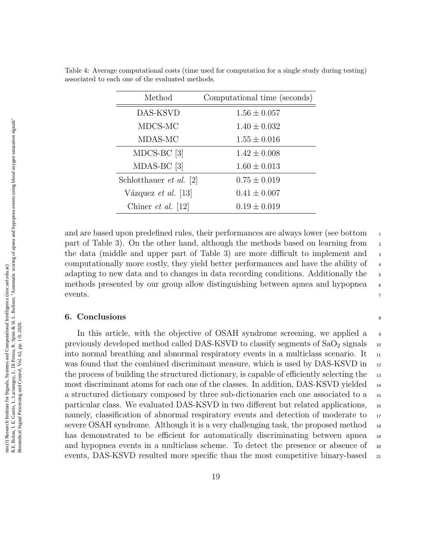| Method                         | Computational time (seconds) |
|--------------------------------|------------------------------|
| DAS-KSVD                       | $1.56 \pm 0.057$             |
| MDCS-MC                        | $1.40 \pm 0.032$             |
| MDAS-MC                        | $1.55 \pm 0.016$             |
| $MDCS-BC$ [3]                  | $1.42 \pm 0.008$             |
| $MDAS-BC$ [3]                  | $1.60 \pm 0.013$             |
| Schlotthauer <i>et al.</i> [2] | $0.75 \pm 0.019$             |
| Vázquez <i>et al.</i> [13]     | $0.41 \pm 0.007$             |
| Chiner <i>et al.</i> [12]      | $0.19 \pm 0.019$             |

Table 4: Average computational costs (time used for computation for a single study during testing) associated to each one of the evaluated methods.

and are based upon predefined rules, their performances are always lower (see bottom  $\frac{1}{10}$ part of Table 3). On the other hand, although the methods based on learning from <sup>2</sup> the data (middle and upper part of Table 3) are more difficult to implement and  $\overline{\phantom{a}}$ computationally more costly, they yield better performances and have the ability of <sup>4</sup> adapting to new data and to changes in data recording conditions. Additionally the methods presented by our group allow distinguishing between apnea and hypopnea <sup>6</sup> events.

## 6. Conclusions 8

In this article, with the objective of OSAH syndrome screening, we applied a <sup>9</sup> previously developed method called DAS-KSVD to classify segments of  $SaO<sub>2</sub>$  signals  $\frac{1}{10}$ into normal breathing and abnormal respiratory events in a multiclass scenario. It  $_{11}$ was found that the combined discriminant measure, which is used by DAS-KSVD in 12 the process of building the structured dictionary, is capable of efficiently selecting the 13 most discriminant atoms for each one of the classes. In addition, DAS-KSVD yielded <sup>14</sup> a structured dictionary composed by three sub-dictionaries each one associated to a <sup>15</sup> particular class. We evaluated DAS-KSVD in two different but related applications, <sup>16</sup> namely, classification of abnormal respiratory events and detection of moderate to  $\frac{1}{17}$ severe OSAH syndrome. Although it is a very challenging task, the proposed method <sup>18</sup> has demonstrated to be efficient for automatically discriminating between apnea <sup>19</sup> and hypopnea events in a multiclass scheme. To detect the presence or absence of  $\infty$ events, DAS-KSVD resulted more specific than the most competitive binary-based  $_{21}$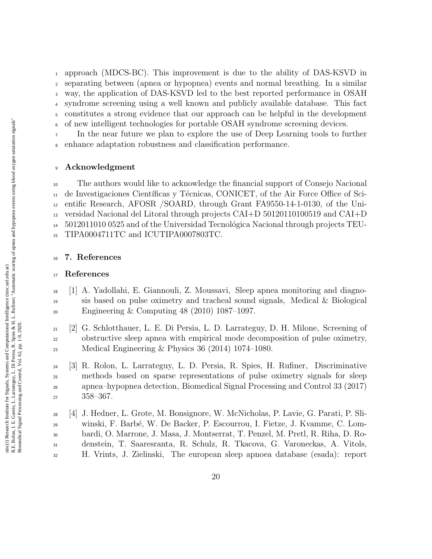approach (MDCS-BC). This improvement is due to the ability of DAS-KSVD in separating between (apnea or hypopnea) events and normal breathing. In a similar way, the application of DAS-KSVD led to the best reported performance in OSAH syndrome screening using a well known and publicly available database. This fact constitutes a strong evidence that our approach can be helpful in the development of new intelligent technologies for portable OSAH syndrome screening devices.

 In the near future we plan to explore the use of Deep Learning tools to further enhance adaptation robustness and classification performance.

# Acknowledgment

 The authors would like to acknowledge the financial support of Consejo Nacional <sup>11</sup> de Investigaciones Científicas y Técnicas, CONICET, of the Air Force Office of Sci- entific Research, AFOSR /SOARD, through Grant FA9550-14-1-0130, of the Uni- versidad Nacional del Litoral through projects CAI+D 50120110100519 and CAI+D  $14 \quad 5012011010\ 0525$  and of the Universidad Tecnológica Nacional through projects TEU-TIPA0004711TC and ICUTIPA0007803TC.

## 7. References

## References

- [1] A. Yadollahi, E. Giannouli, Z. Moussavi, Sleep apnea monitoring and diagno- sis based on pulse oximetry and tracheal sound signals, Medical & Biological Engineering & Computing 48 (2010) 1087–1097.
- [2] G. Schlotthauer, L. E. Di Persia, L. D. Larrateguy, D. H. Milone, Screening of obstructive sleep apnea with empirical mode decomposition of pulse oximetry, Medical Engineering & Physics 36 (2014) 1074–1080.
- [3] R. Rolon, L. Larrateguy, L. D. Persia, R. Spies, H. Rufiner, Discriminative methods based on sparse representations of pulse oximetry signals for sleep apnea–hypopnea detection, Biomedical Signal Processing and Control 33 (2017) 358–367.

 [4] J. Hedner, L. Grote, M. Bonsignore, W. McNicholas, P. Lavie, G. Parati, P. Sli- winski, F. Barb´e, W. De Backer, P. Escourrou, I. Fietze, J. Kvamme, C. Lom- bardi, O. Marrone, J. Masa, J. Montserrat, T. Penzel, M. Pretl, R. Riha, D. Ro- denstein, T. Saaresranta, R. Schulz, R. Tkacova, G. Varoneckas, A. Vitols, H. Vrints, J. Zielinski, The european sleep apnoea database (esada): report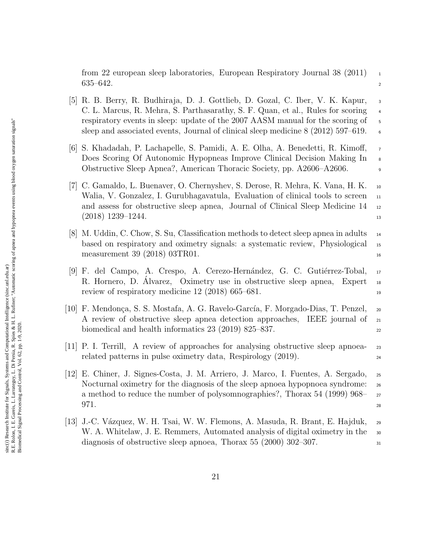from 22 european sleep laboratories, European Respiratory Journal 38 (2011)  $\frac{1}{10}$  $635-642.$ 

- [5] R. B. Berry, R. Budhiraja, D. J. Gottlieb, D. Gozal, C. Iber, V. K. Kapur, <sup>3</sup> C. L. Marcus, R. Mehra, S. Parthasarathy, S. F. Quan, et al., Rules for scoring <sup>4</sup> respiratory events in sleep: update of the 2007 AASM manual for the scoring of 5 sleep and associated events, Journal of clinical sleep medicine  $8(2012)$  597–619.
- [6] S. Khadadah, P. Lachapelle, S. Pamidi, A. E. Olha, A. Benedetti, R. Kimoff, <sup>7</sup> Does Scoring Of Autonomic Hypopneas Improve Clinical Decision Making In <sup>8</sup> Obstructive Sleep Apnea?, American Thoracic Society, pp. A2606–A2606. <sup>9</sup>
- [7] C. Gamaldo, L. Buenaver, O. Chernyshev, S. Derose, R. Mehra, K. Vana, H. K. <sup>10</sup> Walia, V. Gonzalez, I. Gurubhagavatula, Evaluation of clinical tools to screen  $_{11}$ and assess for obstructive sleep apnea, Journal of Clinical Sleep Medicine 14 <sup>12</sup>  $(2018)$  1239–1244.
- [8] M. Uddin, C. Chow, S. Su, Classification methods to detect sleep apnea in adults <sup>14</sup> based on respiratory and oximetry signals: a systematic review, Physiological <sup>15</sup> measurement 39 (2018) 03TR01.  $\frac{16}{16}$
- [9] F. del Campo, A. Crespo, A. Cerezo-Hernández, G. C. Gutiérrez-Tobal, 17 R. Hornero, D. Alvarez, Oximetry use in obstructive sleep apnea, Expert <sup>18</sup> review of respiratory medicine  $12 \ (2018) \ 665-681$ .
- [10] F. Mendonça, S. S. Mostafa, A. G. Ravelo-García, F. Morgado-Dias, T. Penzel, 20 A review of obstructive sleep apnea detection approaches, IEEE journal of <sup>21</sup> biomedical and health informatics  $23$  (2019) 825–837.
- [11] P. I. Terrill, A review of approaches for analysing obstructive sleep apnoea- <sup>23</sup> related patterns in pulse oximetry data, Respirology (2019).
- [12] E. Chiner, J. Signes-Costa, J. M. Arriero, J. Marco, I. Fuentes, A. Sergado, <sup>25</sup> Nocturnal oximetry for the diagnosis of the sleep apnoea hypopnoea syndrome: <sup>26</sup> a method to reduce the number of polysomnographies?, Thorax 54 (1999) 968– <sup>27</sup>  $971.$  28
- [13] J.-C. V´azquez, W. H. Tsai, W. W. Flemons, A. Masuda, R. Brant, E. Hajduk, <sup>29</sup> W. A. Whitelaw, J. E. Remmers, Automated analysis of digital oximetry in the <sub>30</sub> diagnosis of obstructive sleep apnoea, Thorax 55 (2000) 302–307.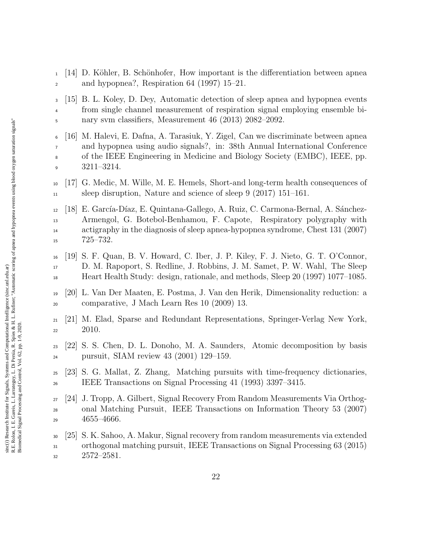$1 \quad 14$  D. Köhler, B. Schönhofer, How important is the differentiation between apnea and hypopnea?, Respiration 64 (1997) 15–21.

 [15] B. L. Koley, D. Dey, Automatic detection of sleep apnea and hypopnea events from single channel measurement of respiration signal employing ensemble bi-nary svm classifiers, Measurement 46 (2013) 2082–2092.

 [16] M. Halevi, E. Dafna, A. Tarasiuk, Y. Zigel, Can we discriminate between apnea and hypopnea using audio signals?, in: 38th Annual International Conference of the IEEE Engineering in Medicine and Biology Society (EMBC), IEEE, pp. 3211–3214.

 [17] G. Medic, M. Wille, M. E. Hemels, Short-and long-term health consequences of sleep disruption, Nature and science of sleep 9 (2017) 151–161.

12 [18] E. García-Díaz, E. Quintana-Gallego, A. Ruiz, C. Carmona-Bernal, A. Sánchez- Armengol, G. Botebol-Benhamou, F. Capote, Respiratory polygraphy with actigraphy in the diagnosis of sleep apnea-hypopnea syndrome, Chest 131 (2007) 725–732.

- [19] S. F. Quan, B. V. Howard, C. Iber, J. P. Kiley, F. J. Nieto, G. T. O'Connor, D. M. Rapoport, S. Redline, J. Robbins, J. M. Samet, P. W. Wahl, The Sleep Heart Health Study: design, rationale, and methods, Sleep 20 (1997) 1077–1085.
- [20] L. Van Der Maaten, E. Postma, J. Van den Herik, Dimensionality reduction: a comparative, J Mach Learn Res 10 (2009) 13.
- [21] M. Elad, Sparse and Redundant Representations, Springer-Verlag New York, 2010.
- [22] S. S. Chen, D. L. Donoho, M. A. Saunders, Atomic decomposition by basis pursuit, SIAM review 43 (2001) 129–159.
- [23] S. G. Mallat, Z. Zhang, Matching pursuits with time-frequency dictionaries, IEEE Transactions on Signal Processing 41 (1993) 3397–3415.
- [24] J. Tropp, A. Gilbert, Signal Recovery From Random Measurements Via Orthog- onal Matching Pursuit, IEEE Transactions on Information Theory 53 (2007) 4655–4666.
- [25] S. K. Sahoo, A. Makur, Signal recovery from random measurements via extended orthogonal matching pursuit, IEEE Transactions on Signal Processing 63 (2015) 2572–2581.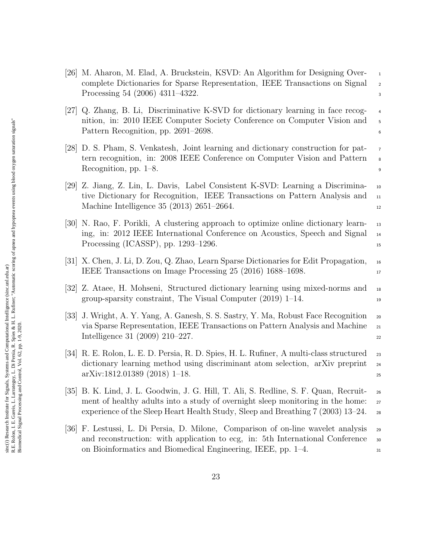[26] M. Aharon, M. Elad, A. Bruckstein, KSVD: An Algorithm for Designing Over- <sup>1</sup> complete Dictionaries for Sparse Representation, IEEE Transactions on Signal <sup>2</sup> Processing 54 (2006) 4311–4322. [27] Q. Zhang, B. Li, Discriminative K-SVD for dictionary learning in face recog- <sup>4</sup> nition, in: 2010 IEEE Computer Society Conference on Computer Vision and 5 Pattern Recognition, pp. 2691–2698. [28] D. S. Pham, S. Venkatesh, Joint learning and dictionary construction for pat- <sup>7</sup> tern recognition, in: 2008 IEEE Conference on Computer Vision and Pattern  $\frac{1}{8}$ Recognition, pp. 1–8. [29] Z. Jiang, Z. Lin, L. Davis, Label Consistent K-SVD: Learning a Discrimina- <sup>10</sup> tive Dictionary for Recognition, IEEE Transactions on Pattern Analysis and <sup>11</sup> Machine Intelligence 35 (2013) 2651–2664. [30] N. Rao, F. Porikli, A clustering approach to optimize online dictionary learn- <sup>13</sup> ing, in: 2012 IEEE International Conference on Acoustics, Speech and Signal <sup>14</sup> Processing (ICASSP), pp. 1293–1296.  $155$ [31] X. Chen, J. Li, D. Zou, Q. Zhao, Learn Sparse Dictionaries for Edit Propagation, <sup>16</sup> IEEE Transactions on Image Processing 25 (2016) 1688–1698. [32] Z. Ataee, H. Mohseni, Structured dictionary learning using mixed-norms and <sup>18</sup> group-sparsity constraint, The Visual Computer (2019) 1–14. <sup>19</sup> [33] J. Wright, A. Y. Yang, A. Ganesh, S. S. Sastry, Y. Ma, Robust Face Recognition <sup>20</sup> via Sparse Representation, IEEE Transactions on Pattern Analysis and Machine <sup>21</sup> Intelligence 31 (2009) 210–227. [34] R. E. Rolon, L. E. D. Persia, R. D. Spies, H. L. Rufiner, A multi-class structured <sup>23</sup> dictionary learning method using discriminant atom selection, arXiv preprint <sup>24</sup> arXiv:1812.01389 (2018) 1–18. <sup>25</sup> [35] B. K. Lind, J. L. Goodwin, J. G. Hill, T. Ali, S. Redline, S. F. Quan, Recruit- <sup>26</sup> ment of healthy adults into a study of overnight sleep monitoring in the home: 27 experience of the Sleep Heart Health Study, Sleep and Breathing 7 (2003) 13–24. <sup>28</sup> [36] F. Lestussi, L. Di Persia, D. Milone, Comparison of on-line wavelet analysis <sup>29</sup> and reconstruction: with application to ecg, in: 5th International Conference 30

on Bioinformatics and Biomedical Engineering, IEEE, pp. 1–4.